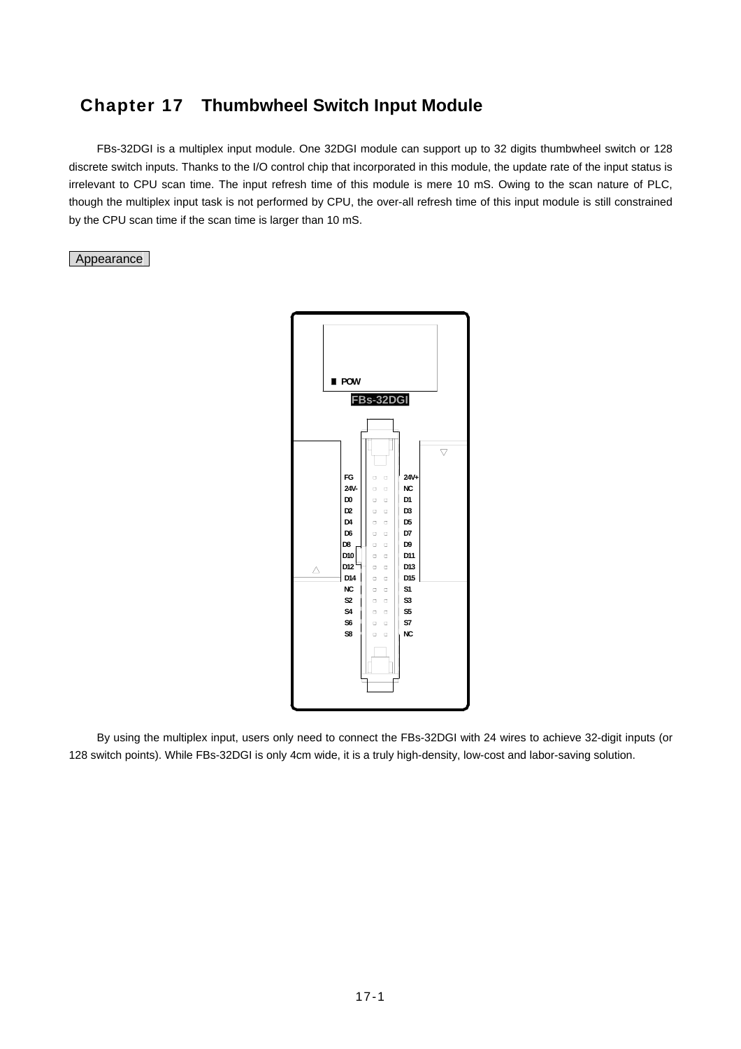### **Chapter 17 Thumbwheel Switch Input Module**

 FBs-32DGI is a multiplex input module. One 32DGI module can support up to 32 digits thumbwheel switch or 128 discrete switch inputs. Thanks to the I/O control chip that incorporated in this module, the update rate of the input status is irrelevant to CPU scan time. The input refresh time of this module is mere 10 mS. Owing to the scan nature of PLC, though the multiplex input task is not performed by CPU, the over-all refresh time of this input module is still constrained by the CPU scan time if the scan time is larger than 10 mS.

Appearance



 By using the multiplex input, users only need to connect the FBs-32DGI with 24 wires to achieve 32-digit inputs (or 128 switch points). While FBs-32DGI is only 4cm wide, it is a truly high-density, low-cost and labor-saving solution.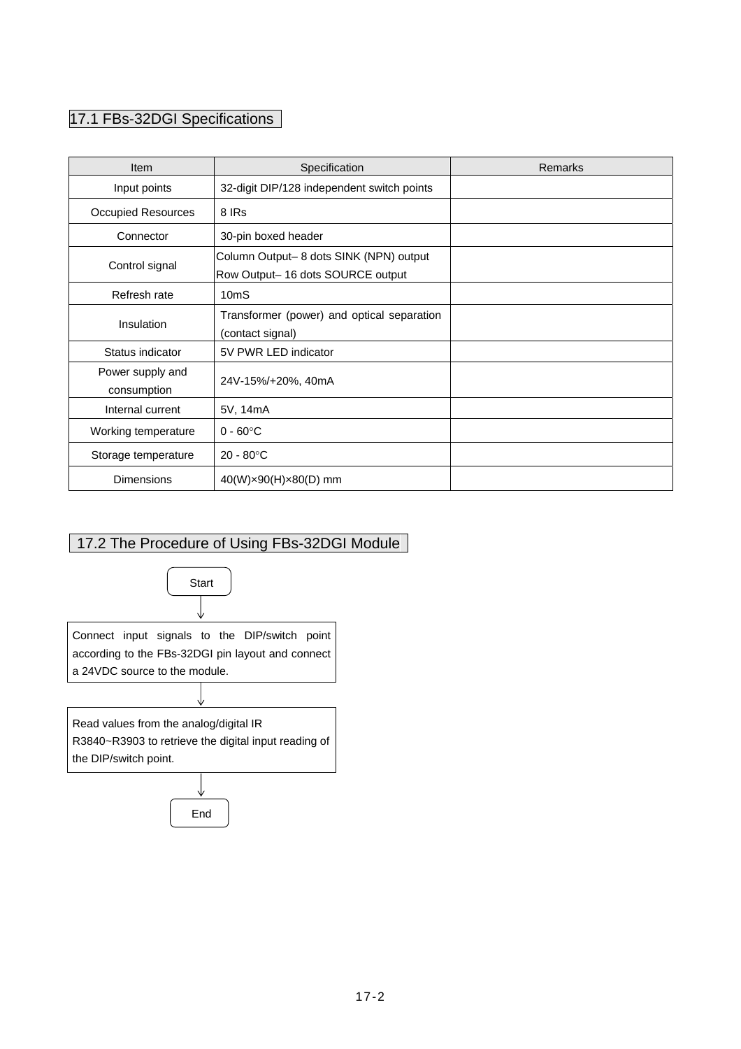# 17.1 FBs-32DGI Specifications

| Item                            | Specification                                                              | Remarks |
|---------------------------------|----------------------------------------------------------------------------|---------|
| Input points                    | 32-digit DIP/128 independent switch points                                 |         |
| <b>Occupied Resources</b>       | 8 IRs                                                                      |         |
| Connector                       | 30-pin boxed header                                                        |         |
| Control signal                  | Column Output-8 dots SINK (NPN) output<br>Row Output-16 dots SOURCE output |         |
| Refresh rate                    | 10 <sub>m</sub> S                                                          |         |
| Insulation                      | Transformer (power) and optical separation<br>(contact signal)             |         |
| Status indicator                | 5V PWR LED indicator                                                       |         |
| Power supply and<br>consumption | 24V-15%/+20%, 40mA                                                         |         |
| Internal current                | 5V, 14mA                                                                   |         |
| Working temperature             | $0 - 60^{\circ}$ C                                                         |         |
| Storage temperature             | $20 - 80^{\circ}$ C                                                        |         |
| <b>Dimensions</b>               | 40(W)×90(H)×80(D) mm                                                       |         |

# 17.2 The Procedure of Using FBs-32DGI Module

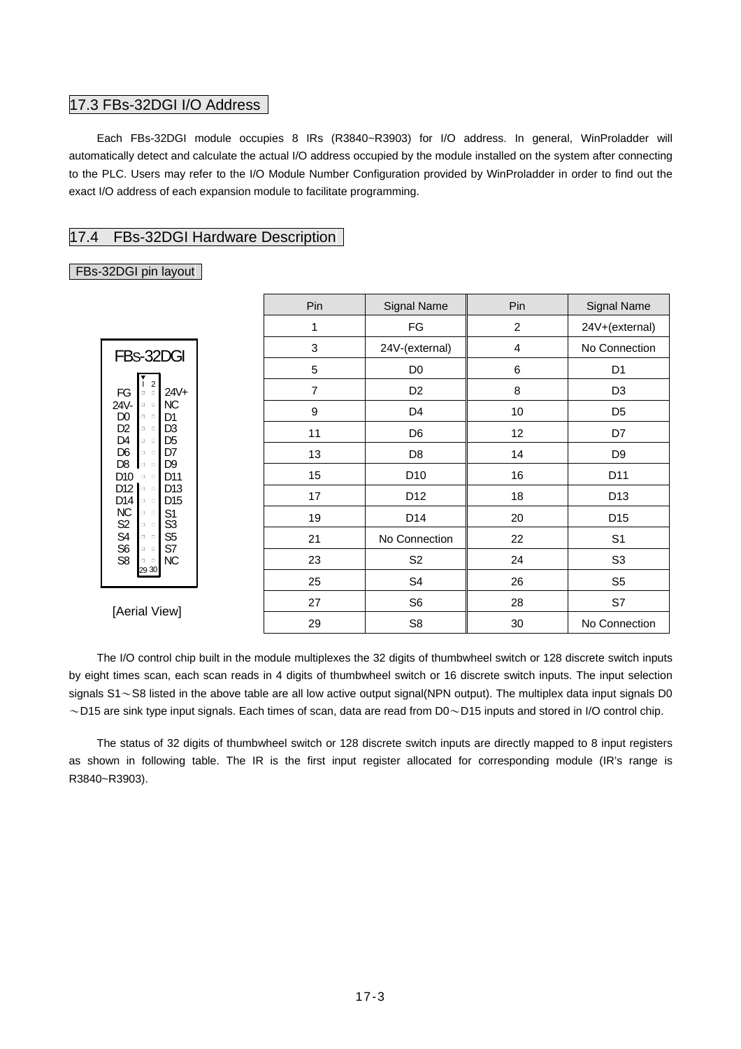#### 17.3 FBs-32DGI I/O Address

 Each FBs-32DGI module occupies 8 IRs (R3840~R3903) for I/O address. In general, WinProladder will automatically detect and calculate the actual I/O address occupied by the module installed on the system after connecting to the PLC. Users may refer to the I/O Module Number Configuration provided by WinProladder in order to find out the exact I/O address of each expansion module to facilitate programming.

#### 17.4 FBs-32DGI Hardware Description

#### FBs-32DGI pin layout

|                                                                                                                                                                      | Pin | Signal Name     | Pin            | Signal Name     |  |  |
|----------------------------------------------------------------------------------------------------------------------------------------------------------------------|-----|-----------------|----------------|-----------------|--|--|
|                                                                                                                                                                      | 1   | FG              | $\overline{c}$ | 24V+(external)  |  |  |
| FBs-32DGI                                                                                                                                                            | 3   | 24V-(external)  | 4              | No Connection   |  |  |
|                                                                                                                                                                      | 5   | D <sub>0</sub>  | 6              | D <sub>1</sub>  |  |  |
| $\overline{2}$<br>$24V+$<br>FG<br>$\begin{array}{ccc} \square & \square \end{array}$                                                                                 | 7   | D <sub>2</sub>  | 8              | D <sub>3</sub>  |  |  |
| <b>NC</b><br>24V-<br>$\Box$<br>D <sub>0</sub><br>D <sub>1</sub><br>$\Box$                                                                                            | 9   | D <sub>4</sub>  | 10             | D <sub>5</sub>  |  |  |
| D <sub>2</sub><br>D <sub>3</sub><br>$\begin{array}{cc} \Box & \Box \end{array}$<br>D <sub>4</sub><br>D <sub>5</sub><br>$\begin{array}{ccc} \Box & \Box \end{array}$  | 11  | D <sub>6</sub>  | 12             | D7              |  |  |
| D <sub>6</sub><br>D7<br>$\Box$                                                                                                                                       | 13  | D <sub>8</sub>  | 14             | D <sub>9</sub>  |  |  |
| D <sub>8</sub><br>D <sub>9</sub><br>$\begin{array}{cc} \square & \square \end{array}$<br>D <sub>10</sub><br>D11<br>$\begin{array}{cc} \square & \square \end{array}$ | 15  | D <sub>10</sub> | 16             | D11             |  |  |
| D12<br>D <sub>13</sub><br>$\begin{array}{ccc} \square & \square \end{array}$<br>D14<br>D <sub>15</sub><br>$\Box$                                                     | 17  | D <sub>12</sub> | 18             | D <sub>13</sub> |  |  |
| <b>NC</b><br>S <sub>1</sub><br>$\begin{array}{ccc} \Box & \Box \end{array}$<br>S3<br>$\begin{array}{cc} \Box & \Box \end{array}$                                     | 19  | D <sub>14</sub> | 20             | D <sub>15</sub> |  |  |
| S2<br>S4<br>S6<br>S <sub>5</sub><br>$\Box$<br>S7<br>$\Box$                                                                                                           | 21  | No Connection   | 22             | S <sub>1</sub>  |  |  |
| S <sub>8</sub><br>NC<br>$\begin{array}{cc} \square & \square \end{array}$                                                                                            | 23  | S <sub>2</sub>  | 24             | S <sub>3</sub>  |  |  |
| 29 30                                                                                                                                                                | 25  | S <sub>4</sub>  | 26             | S <sub>5</sub>  |  |  |
| [Aerial View]                                                                                                                                                        | 27  | S <sub>6</sub>  | 28             | S7              |  |  |
|                                                                                                                                                                      | 29  | S <sub>8</sub>  | 30             | No Connection   |  |  |

 The I/O control chip built in the module multiplexes the 32 digits of thumbwheel switch or 128 discrete switch inputs by eight times scan, each scan reads in 4 digits of thumbwheel switch or 16 discrete switch inputs. The input selection signals  $S1 \sim S8$  listed in the above table are all low active output signal(NPN output). The multiplex data input signals D0  $\sim$  D15 are sink type input signals. Each times of scan, data are read from D0 $\sim$ D15 inputs and stored in I/O control chip.

 The status of 32 digits of thumbwheel switch or 128 discrete switch inputs are directly mapped to 8 input registers as shown in following table. The IR is the first input register allocated for corresponding module (IR's range is R3840~R3903).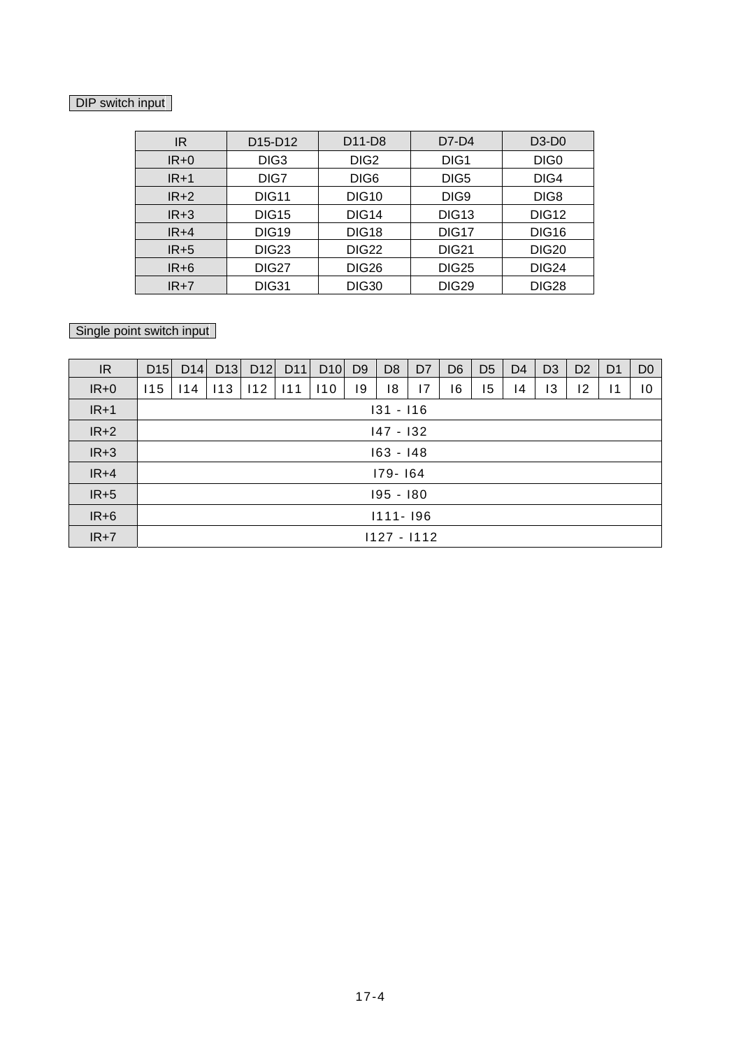#### DIP switch input

| IR     | D15-D12           | D11-D8            | $D7-D4$          | $D3-D0$           |
|--------|-------------------|-------------------|------------------|-------------------|
| $IR+0$ | DIG <sub>3</sub>  | DIG <sub>2</sub>  | DIG <sub>1</sub> | DIG <sub>0</sub>  |
| $IR+1$ | DIG7              | DIG <sub>6</sub>  | DIG5             | DIG4              |
| $IR+2$ | <b>DIG11</b>      | <b>DIG10</b>      | DIG9             | DIG8              |
| $IR+3$ | <b>DIG15</b>      | DIG <sub>14</sub> | <b>DIG13</b>     | DIG <sub>12</sub> |
| $IR+4$ | <b>DIG19</b>      | <b>DIG18</b>      | DIG17            | <b>DIG16</b>      |
| $IR+5$ | DIG <sub>23</sub> | DIG <sub>22</sub> | <b>DIG21</b>     | <b>DIG20</b>      |
| $IR+6$ | <b>DIG27</b>      | <b>DIG26</b>      | <b>DIG25</b>     | DIG <sub>24</sub> |
| $IR+7$ | <b>DIG31</b>      | <b>DIG30</b>      | <b>DIG29</b>     | <b>DIG28</b>      |

### Single point switch input

| IR     | D15           | D14          | D13 | D12 | D <sub>11</sub> | D10 | D <sub>9</sub> | D <sub>8</sub> | D <sub>7</sub> | D <sub>6</sub> | D <sub>5</sub> | D <sub>4</sub> | D <sub>3</sub> | D <sub>2</sub> | D <sub>1</sub>  | D <sub>0</sub>  |
|--------|---------------|--------------|-----|-----|-----------------|-----|----------------|----------------|----------------|----------------|----------------|----------------|----------------|----------------|-----------------|-----------------|
| $IR+0$ | 115           | 114          | 113 | 112 | 111             | 110 | 19             | 18             | 7              | 16             | 15             | 14             | 13             | 12             | $\overline{11}$ | $\overline{10}$ |
| $IR+1$ | $131 - 116$   |              |     |     |                 |     |                |                |                |                |                |                |                |                |                 |                 |
| $IR+2$ |               | 147 - 132    |     |     |                 |     |                |                |                |                |                |                |                |                |                 |                 |
| $IR+3$ |               | $163 - 148$  |     |     |                 |     |                |                |                |                |                |                |                |                |                 |                 |
| $IR+4$ |               | 179-164      |     |     |                 |     |                |                |                |                |                |                |                |                |                 |                 |
| $IR+5$ |               | 195 - 180    |     |     |                 |     |                |                |                |                |                |                |                |                |                 |                 |
| $IR+6$ |               | $1111 - 196$ |     |     |                 |     |                |                |                |                |                |                |                |                |                 |                 |
| $IR+7$ | $1127 - 1112$ |              |     |     |                 |     |                |                |                |                |                |                |                |                |                 |                 |